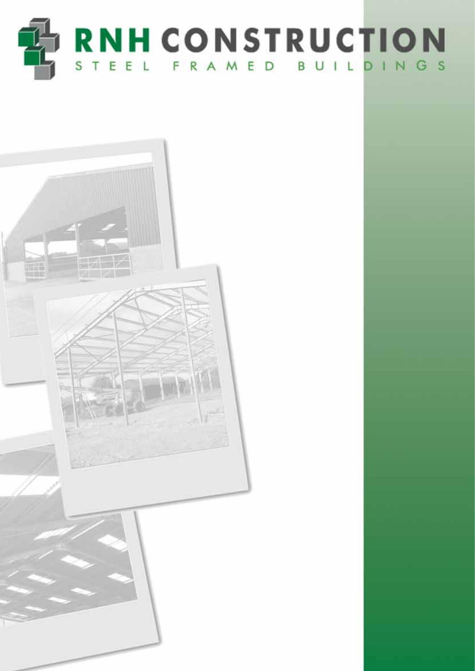

• Pig Buildings • Poultry Units • Cubicle Buildings • Implement Buildings

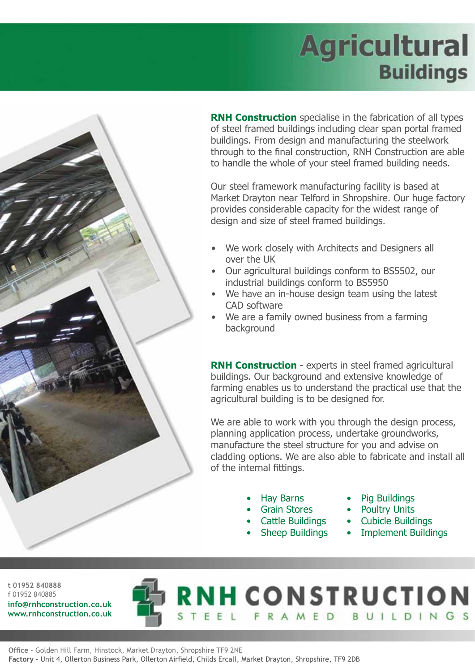## **Agricultural Buildings**



**RNH Construction** specialise in the fabrication of all types of steel framed buildings including clear span portal framed buildings. From design and manufacturing the steelwork through to the final construction, RNH Construction are able to handle the whole of your steel framed building needs.

Our steel framework manufacturing facility is based at Market Drayton near Telford in Shropshire. Our huge factory provides considerable capacity for the widest range of design and size of steel framed buildings.

- We work closely with Architects and Designers all over the UK
- Our agricultural buildings conform to BS5502, our industrial buildings conform to BS5950
- We have an in-house design team using the latest CAD software
- We are a family owned business from a farming background

**RNH Construction** - experts in steel framed agricultural buildings. Our background and extensive knowledge of farming enables us to understand the practical use that the agricultural building is to be designed for.

We are able to work with you through the design process, planning application process, undertake groundworks, manufacture the steel structure for you and advise on cladding options. We are also able to fabricate and install all of the internal fittings.

**RNH CONSTRUCTION** 

EEL FRAMED BUILDINGS

- Hay Barns
- Grain Stores
- Cattle Buildings
- **Sheep Buildings**
- Pig Buildings
- Poultry Units
- Cubicle Buildings
- Implement Buildings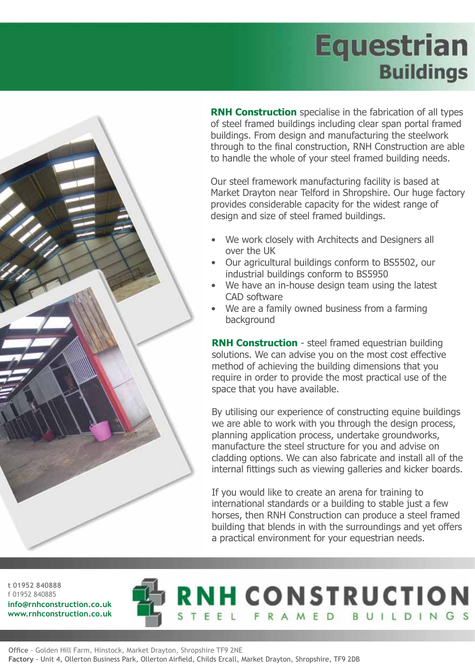## **Equestrian Buildings**



**RNH Construction** specialise in the fabrication of all types of steel framed buildings including clear span portal framed buildings. From design and manufacturing the steelwork through to the final construction, RNH Construction are able to handle the whole of your steel framed building needs.

Our steel framework manufacturing facility is based at Market Drayton near Telford in Shropshire. Our huge factory provides considerable capacity for the widest range of design and size of steel framed buildings.

- We work closely with Architects and Designers all over the UK
- Our agricultural buildings conform to BS5502, our industrial buildings conform to BS5950
- We have an in-house design team using the latest CAD software
- We are a family owned business from a farming background

**RNH Construction** - steel framed equestrian building solutions. We can advise you on the most cost effective method of achieving the building dimensions that you require in order to provide the most practical use of the space that you have available.

By utilising our experience of constructing equine buildings we are able to work with you through the design process, planning application process, undertake groundworks, manufacture the steel structure for you and advise on cladding options. We can also fabricate and install all of the internal fittings such as viewing galleries and kicker boards.

If you would like to create an arena for training to international standards or a building to stable just a few horses, then RNH Construction can produce a steel framed building that blends in with the surroundings and yet offers a practical environment for your equestrian needs.

**RNH CONSTRUCTION** 

FRAMED BUILDINGS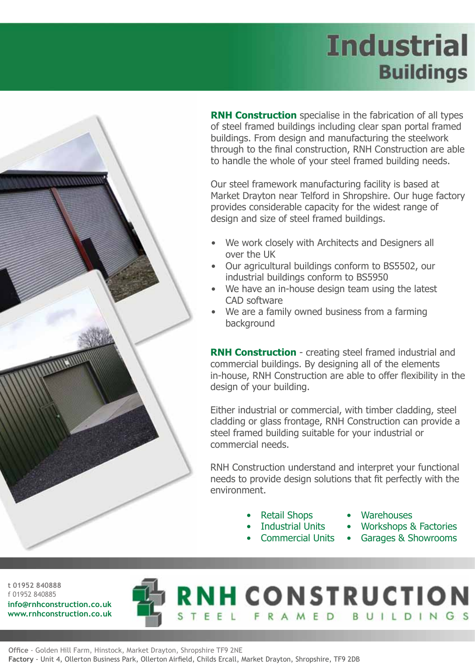## **Industrial Buildings**



**RNH Construction** specialise in the fabrication of all types of steel framed buildings including clear span portal framed buildings. From design and manufacturing the steelwork through to the final construction, RNH Construction are able to handle the whole of your steel framed building needs.

Our steel framework manufacturing facility is based at Market Drayton near Telford in Shropshire. Our huge factory provides considerable capacity for the widest range of design and size of steel framed buildings.

- We work closely with Architects and Designers all over the UK
- Our agricultural buildings conform to BS5502, our industrial buildings conform to BS5950
- We have an in-house design team using the latest CAD software
- We are a family owned business from a farming background

**RNH Construction** - creating steel framed industrial and commercial buildings. By designing all of the elements in-house, RNH Construction are able to offer flexibility in the design of your building.

Either industrial or commercial, with timber cladding, steel cladding or glass frontage, RNH Construction can provide a steel framed building suitable for your industrial or commercial needs.

RNH Construction understand and interpret your functional needs to provide design solutions that fit perfectly with the environment.

**RNH CONSTRUCTION** 

TEEL FRAMED BUILDINGS

- Retail Shops
- Industrial Units
- Commercial Units
- **Warehouses**
- Workshops & Factories
- Garages & Showrooms